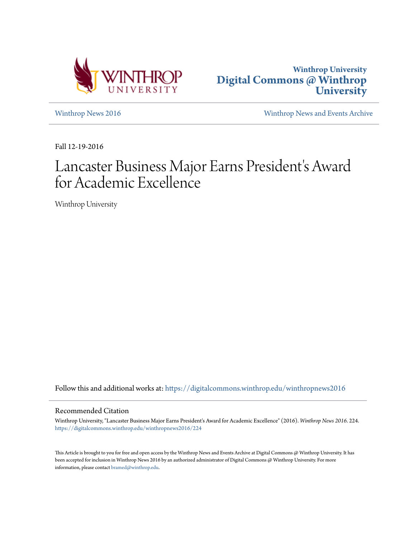



[Winthrop News 2016](https://digitalcommons.winthrop.edu/winthropnews2016?utm_source=digitalcommons.winthrop.edu%2Fwinthropnews2016%2F224&utm_medium=PDF&utm_campaign=PDFCoverPages) [Winthrop News and Events Archive](https://digitalcommons.winthrop.edu/winthropnewsarchives?utm_source=digitalcommons.winthrop.edu%2Fwinthropnews2016%2F224&utm_medium=PDF&utm_campaign=PDFCoverPages)

Fall 12-19-2016

# Lancaster Business Major Earns President's Award for Academic Excellence

Winthrop University

Follow this and additional works at: [https://digitalcommons.winthrop.edu/winthropnews2016](https://digitalcommons.winthrop.edu/winthropnews2016?utm_source=digitalcommons.winthrop.edu%2Fwinthropnews2016%2F224&utm_medium=PDF&utm_campaign=PDFCoverPages)

### Recommended Citation

Winthrop University, "Lancaster Business Major Earns President's Award for Academic Excellence" (2016). *Winthrop News 2016*. 224. [https://digitalcommons.winthrop.edu/winthropnews2016/224](https://digitalcommons.winthrop.edu/winthropnews2016/224?utm_source=digitalcommons.winthrop.edu%2Fwinthropnews2016%2F224&utm_medium=PDF&utm_campaign=PDFCoverPages)

This Article is brought to you for free and open access by the Winthrop News and Events Archive at Digital Commons @ Winthrop University. It has been accepted for inclusion in Winthrop News 2016 by an authorized administrator of Digital Commons @ Winthrop University. For more information, please contact [bramed@winthrop.edu](mailto:bramed@winthrop.edu).